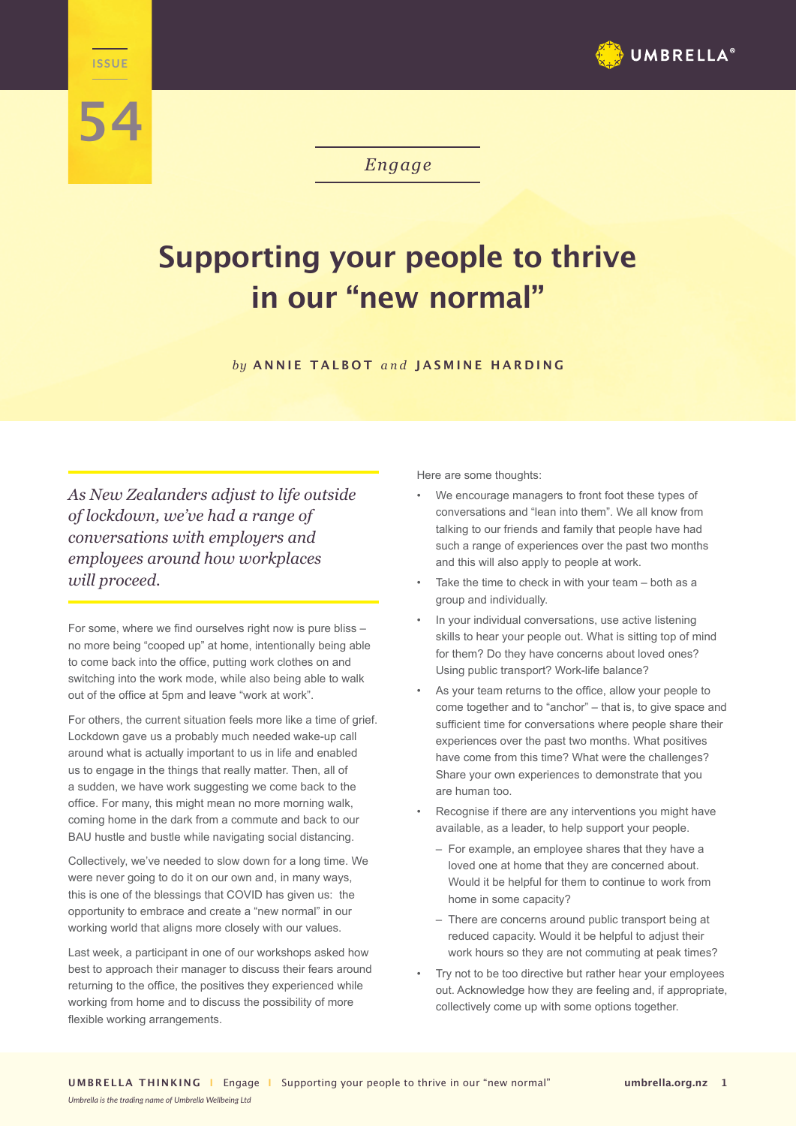

## **54**

**Engage ISSUE**

*Engage*

## **Supporting your people to thrive in our "new normal"**

*by* **ANNIE TALBOT** *and* **JASMINE HARDING**

*As New Zealanders adjust to life outside of lockdown, we've had a range of conversations with employers and employees around how workplaces will proceed.* 

For some, where we find ourselves right now is pure bliss – no more being "cooped up" at home, intentionally being able to come back into the office, putting work clothes on and switching into the work mode, while also being able to walk out of the office at 5pm and leave "work at work".

For others, the current situation feels more like a time of grief. Lockdown gave us a probably much needed wake-up call around what is actually important to us in life and enabled us to engage in the things that really matter. Then, all of a sudden, we have work suggesting we come back to the office. For many, this might mean no more morning walk, coming home in the dark from a commute and back to our BAU hustle and bustle while navigating social distancing.

Collectively, we've needed to slow down for a long time. We were never going to do it on our own and, in many ways, this is one of the blessings that COVID has given us: the opportunity to embrace and create a "new normal" in our working world that aligns more closely with our values.

Last week, a participant in one of our workshops asked how best to approach their manager to discuss their fears around returning to the office, the positives they experienced while working from home and to discuss the possibility of more flexible working arrangements.

*Umbrella is the trading name of Umbrella Wellbeing Ltd*

Here are some thoughts:

- We encourage managers to front foot these types of conversations and "lean into them". We all know from talking to our friends and family that people have had such a range of experiences over the past two months and this will also apply to people at work.
- Take the time to check in with your team both as a group and individually.
- In your individual conversations, use active listening skills to hear your people out. What is sitting top of mind for them? Do they have concerns about loved ones? Using public transport? Work-life balance?
- As your team returns to the office, allow your people to come together and to "anchor" – that is, to give space and sufficient time for conversations where people share their experiences over the past two months. What positives have come from this time? What were the challenges? Share your own experiences to demonstrate that you are human too.
- Recognise if there are any interventions you might have available, as a leader, to help support your people.
	- For example, an employee shares that they have a loved one at home that they are concerned about. Would it be helpful for them to continue to work from home in some capacity?
	- There are concerns around public transport being at reduced capacity. Would it be helpful to adjust their work hours so they are not commuting at peak times?
- Try not to be too directive but rather hear your employees out. Acknowledge how they are feeling and, if appropriate, collectively come up with some options together.